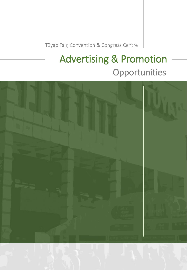Tüyap Fair, Convention & Congress Centre

# Advertising & Promotion Opportunities

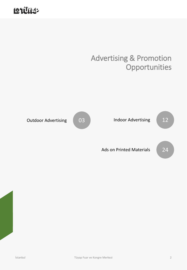## **LOTURED**

### Advertising & Promotion **Opportunities**

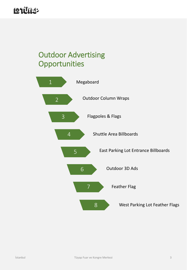## Outdoor Advertising **Opportunities**

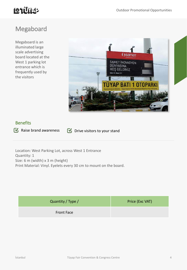### Megaboard

Megaboard is an illuminated large scale advertising board located at the West 1 parking lot entrance which is frequently used by the visitors



#### Benefits

 $\blacksquare$  Raise brand awareness  $\blacksquare$  Drive visitors to your stand

Location: West Parking Lot, across West 1 Entrance Quantity: 1 Size: 6 m (width) x 3 m (height) Print Material: Vinyl. Eyelets every 30 cm to mount on the board.

| Quantity / Type / | Price (Exc VAT) |
|-------------------|-----------------|
| <b>Front Face</b> |                 |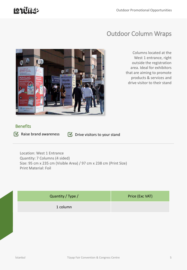## **LOTURED**

### Outdoor Column Wraps



Columns located at the West 1 entrance, right outside the registration area. Ideal for exhibitors that are aiming to promote products & services and drive visitor to their stand

#### **Benefits**



 $\bullet$  Raise brand awareness  $\bullet$  Drive visitors to your stand

Location: West 1 Entrance Quantity: 7 Columns (4 sided) Size: 95 cm x 235 cm (Visible Area) / 97 cm x 238 cm (Print Size) Print Material: Foil

| Quantity / Type / | Price (Exc VAT) |
|-------------------|-----------------|
| 1 column          |                 |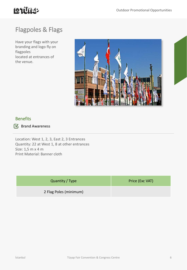

### Flagpoles & Flags

Have your flags with your branding and logo fly on flagpoles located at entrances of the venue.



#### Benefits

Brand Awareness

Location: West 1, 2, 3, East 2, 3 Entrances Quantity: 22 at West 1, 8 at other entrances Size: 1,5 m x 4 m Print Material: Banner cloth

| Quantity / Type        | Price (Exc VAT) |
|------------------------|-----------------|
| 2 Flag Poles (minimum) |                 |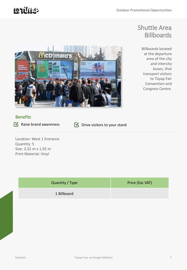### Shuttle Area Billboards

Billboards located at the departure area of the city and intercity buses, that transport visitors to Tüyap Fair Convention and Congress Centre.



#### **Benefits**

 $\bullet$  Raise brand awareness  $\bullet$  Drive visitors to your stand

Location: West 1 Entrance Quantity: 5 Size: 3,32 m x 1,92 m Print Material: Vinyl

| Quantity / Type | Price (Exc VAT) |
|-----------------|-----------------|
| 1 Billboard     |                 |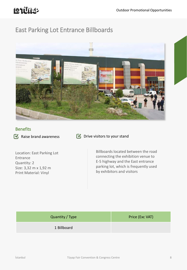### East Parking Lot Entrance Billboards



#### **Benefits**

 $\blacksquare$  Raise brand awareness  $\blacksquare$  Drive visitors to your stand

Location: East Parking Lot Entrance Quantity: 2 Size: 3,32 m x 1,92 m Print Material: Vinyl

Billboards located between the road connecting the exhibition venue to E-5 highway and the East entrance parking lot, which is frequently used by exhibitors and visitors

| Quantity / Type | Price (Exc VAT) |
|-----------------|-----------------|
| 1 Billboard     |                 |
|                 |                 |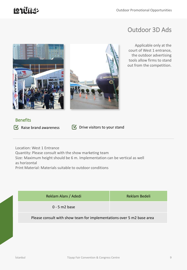## **Latitus**

### Outdoor 3D Ads

Applicable only at the court of West 1 entrance, the outdoor advertising tools allow firms to stand out from the competition.





# **Benefits**

 $\blacksquare$  Raise brand awareness  $\blacksquare$  Drive visitors to your stand

Location: West 1 Entrance Quantity: Please consult with the show marketing team Size: Maximum height should be 6 m. Implementation can be vertical as well as horizontal Print Material: Materials suitable to outdoor conditions

| Reklam Alanı / Adedi | Reklam Bedeli |
|----------------------|---------------|
| $0 - 5$ m2 base      |               |
|                      |               |

#### Please consult with show team for implementations over 5 m2 base area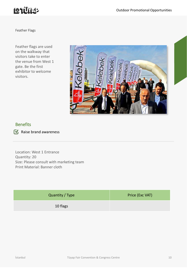

Feather Flags

Feather flags are used on the walkway that visitors take to enter the venue from West 1 gate. Be the first exhibitor to welcome visitors.



#### Benefits

Raise brand awareness

Location: West 1 Entrance Quantity: 20 Size: Please consult with marketing team Print Material: Banner cloth

| Quantity / Type | Price (Exc VAT) |
|-----------------|-----------------|
| 10 flags        |                 |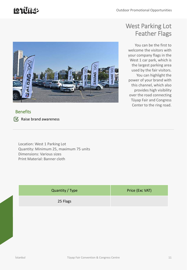## **Latitus**



#### **Benefits**

 $\mathbf{C}$  Raise brand awareness

Location: West 1 Parking Lot Quantity: Minimum 25, maximum 75 units Dimensions: Various sizes Print Material: Banner cloth

| Quantity / Type | Price (Exc VAT) |
|-----------------|-----------------|
| 25 Flags        |                 |

### West Parking Lot Feather Flags

You can be the first to welcome the visitors with your company flags in the West 1 car park, which is the largest parking area used by the fair visitors. You can highlight the power of your brand with this channel, which also provides high visibility over the road connecting Tüyap Fair and Congress Center to the ring road.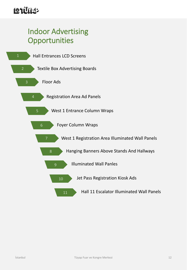## Indoor Advertising **Opportunities**

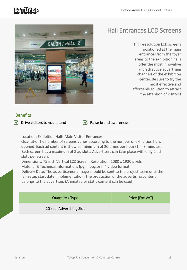## 121U112



### Hall Entrances LCD Screens

High-resolution LCD screens positioned at the main entrances from the foyer areas to the exhibition halls offer the most innovative and attractive advertising channels of the exhibition center. Be sure to try the most effective and affordable solution to attract the attention of visitors!

#### **Benefits**

 $\blacksquare$  Drive visitors to your stand  $\blacksquare$  Raise brand awareness

Location: Exhibition Halls Main Visitor Entrances

Quantity: The number of screens varies according to the number of exhibition halls opened. Each ad content is shown a minimum of 20 times per hour (1 in 3 minutes). Each screen has a maximum of 8 ad slots. Advertisers can take place with only 2 ad slots per screen.

Dimensions: 75 inch Vertical LCD Screen, Resolution: 1080 x 1920 pixels Material & Technical Information: Jpg, mpeg or m4 video format

Delivery Date: The advertisement image should be sent to the project team until the fair setup start date. Implementation: The production of the advertising content belongs to the advertiser. (Animated or static content can be used)

| Quantity / Type          | Price (Exc VAT) |
|--------------------------|-----------------|
| 20 sec. Advertising Slot |                 |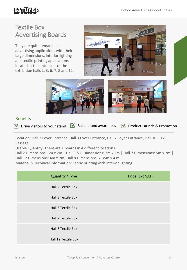## **LOTURED**

### Textile Box Advertising Boards

They are quite remarkable advertising applications with their large dimensions, interior lighting and textile printing applications, located at the entrances of the exhibition halls 2, 3, 6, 7, 8 and 12.





#### **Benefits**

 $\bullet$  Drive visitors to your stand  $\bullet$  Raise brand awareness  $\bullet$  Product Launch & Promotion

Location: Hall 2 Foyer Entrance, Hall 3 Foyer Entrance, Hall 7 Foyer Entrance, Hall 10 – 12 Passage

Usable Quantity: There are 1 boards in 4 different locations.

Hall 2 Dimensions: 6m x 2m | Hall 3 & 6 Dimensions: 3m x 2m | Hall 7 Dimensions: 5m x 2m | Hall 12 Dimensions: 4m x 2m, Hall 8 Dimensions: 2,35m x 4 m

Material & Technical Information: Fabric printing with interior lighting

| Quantity / Type     | Price (Exc VAT) |
|---------------------|-----------------|
| Hall 2 Textile Box  |                 |
| Hall 3 Textile Box  |                 |
| Hall 6 Textile Box  |                 |
| Hall 7 Textile Box  |                 |
| Hall 8 Textile Box  |                 |
| Hall 12 Textile Box |                 |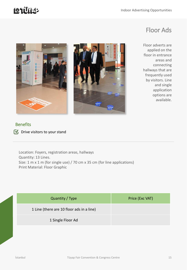### Floor Ads

Floor adverts are applied on the floor in entrance areas and connecting hallways that are frequently used by visitors. Line and single application options are available.





#### Benefits

**Drive visitors to your stand** 

Location: Foyers, registration areas, hallways Quantity: 13 Lines. Size: 1 m x 1 m (for single use) / 70 cm x 35 cm (for line applications) Print Material: Floor Graphic

| Quantity / Type                           | Price (Exc VAT) |
|-------------------------------------------|-----------------|
| 1 Line (there are 10 floor ads in a line) |                 |
| 1 Single Floor Ad                         |                 |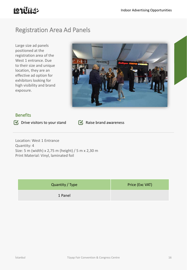### Registration Area Ad Panels

Large size ad panels positioned at the registration area of the West 1 entrance. Due to their size and unique location, they are an effective ad option for exhibitors looking for high visibility and brand exposure.



#### **Benefits**

 $\bullet$  Drive visitors to your stand  $\bullet$  Raise brand awareness

Location: West 1 Entrance Quantity: 4 Size: 5 m (width) x 2,75 m (height) / 5 m x 2,30 m Print Material: Vinyl, laminated foil

| Quantity / Type | Price (Exc VAT) |
|-----------------|-----------------|
| 1 Panel         |                 |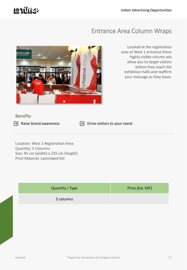## **LOTURED**

### Entrance Area Column Wraps



Located at the registration area of West 1 entrance these highly visible column ads allow you to target visitors before they reach the exhibition halls and reaffirm your message as they leave.

#### **Benefits**

Raise brand awareness  $\bullet$  Drive visitors to your stand

Location: West 1 Registration Area Quantity: 5 Columns Size: 95 cm (width) x 235 cm (height) Print Material: Laminated foil

| Quantity / Type | Price (Exc VAT) |
|-----------------|-----------------|
| 3 columns       |                 |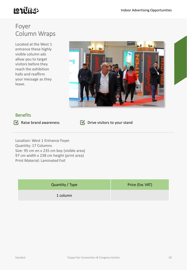### Foyer Column Wraps

Located at the West 1 entrance these highly visible column ads allow you to target visitors before they reach the exhibition halls and reaffirm your message as they leave.



#### **Benefits**

 $\blacksquare$  Raise brand awareness  $\blacksquare$  Drive visitors to your stand

Location: West 1 Entrance Foyer Quantity: 17 Columns Size: 95 cm en x 235 cm boy (visible area) 97 cm width x 238 cm height (print area) Print Material: Laminated Foil

| Quantity / Type | Price (Exc VAT) |
|-----------------|-----------------|
| 1 column        |                 |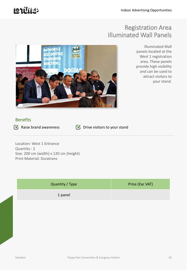### Registration Area Illuminated Wall Panels



Illuminated Wall panels located at the West 1 registration area. These panels provide high visibility and can be used to attract visitors to your stand.

#### **Benefits**

Raise brand awareness  $\blacksquare$  Drive visitors to your stand

Location: West 1 Entrance Quantity : 2 Size: 200 cm (width) x 120 cm (height) Print Material: Duratrans

| Quantity / Type | Price (Exc VAT) |
|-----------------|-----------------|
| 1 panel         |                 |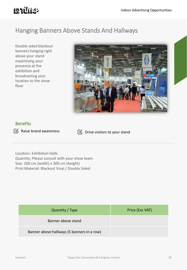## **LOTUTER**

### Hanging Banners Above Stands And Hallways

Double sided blackout banners hanging right above your stand maximising your presence at the exhibition and broadcasting your location to the show floor



#### **Benefits**

 $\bullet$  Raise brand awareness  $\bullet$  Drive visitors to your stand

Location: Exhibition Halls Quantity: Please consult with your show team Size: 200 cm (width) x 300 cm (height) Print Material: Blackout Vinyl / Double Sided

| Quantity / Type                            | Price (Exc VAT) |
|--------------------------------------------|-----------------|
| Banner above stand                         |                 |
| Banner above hallways (5 banners in a row) |                 |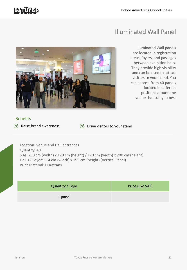## **Latitus**

### Illuminated Wall Panel



Illuminated Wall panels are located in registration areas, foyers, and passages between exhibition halls. They provide high visibility and can be used to attract visitors to your stand. You can choose from 40 panels located in different positions around the venue that suit you best

#### **Benefits**

Raise brand awareness  $\bullet$  Drive visitors to your stand

Location: Venue and Hall entrances Quantity: 40 Size: 200 cm (width) x 120 cm (height) / 120 cm (width) x 200 cm (height) Hall 12 Foyer: 114 cm (width) x 195 cm (height) (Vertical Panel) Print Material: Duratrans

| Quantity / Type | Price (Exc VAT) |
|-----------------|-----------------|
| 1 panel         |                 |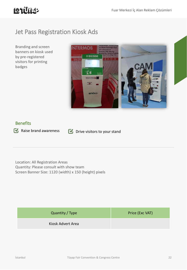### Jet Pass Registration Kiosk Ads

Branding and screen banners on kiosk used by pre-registered visitors for printing badges



#### **Benefits**

Raise brand awareness  $\bullet$  Drive visitors to your stand

Location: All Registration Areas Quantity: Please consult with show team Screen Banner Size: 1120 (width) x 150 (height) pixels

| Quantity / Type   | Price (Exc VAT) |
|-------------------|-----------------|
| Kiosk Advert Area |                 |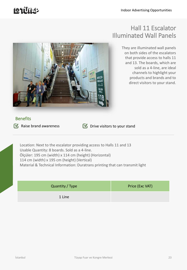## **Latitus**

### Hall 11 Escalator Illuminated Wall Panels

nescio ...<br>masjid المسحد SALON HAI I

They are illuminated wall panels on both sides of the escalators that provide access to halls 11 and 13. The boards, which are sold as a 4-line, are ideal channels to highlight your products and brands and to direct visitors to your stand.

#### **Benefits**

 $\blacksquare$  Raise brand awareness  $\blacksquare$  Drive visitors to your stand

Location: Next to the escalator providing access to Halls 11 and 13 Usable Quantity: 8 boards. Sold as a 4-line. Ölçüler: 195 cm (width) x 114 cm (height) (Horizontal) 114 cm (width) x 195 cm (height) (Vertical) Material & Technical Information: Duratrans printing that can transmit light

| Quantity / Type | Price (Exc VAT) |
|-----------------|-----------------|
| 1 Line          |                 |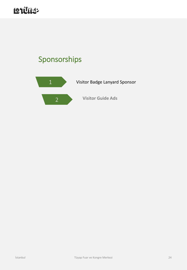## LOLUILL

## Sponsorships

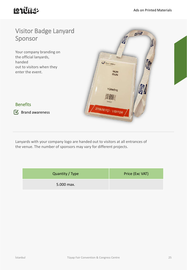## **LOTUTER**

### Visitor Badge Lanyard Sponsor

Your company branding on the official lanyards, handed out to visitors when they enter the event.



#### **Benefits**

Brand awareness

Lanyards with your company logo are handed out to visitors at all entrances of the venue. The number of sponsors may vary for different projects.

| Quantity / Type | Price (Exc VAT) |
|-----------------|-----------------|
| 5.000 max.      |                 |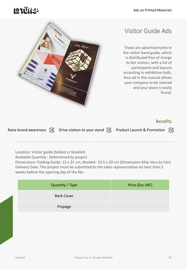## **Latitus**



### Visitor Guide Ads

These are advertisements in the visitor hand guide, which is distributed free of charge to fair visitors, with a list of participants and layouts according to exhibition halls. Your ad in the manual allows your company to be noticed and your place is easily found.

#### **Benefits**

Raise brand awareness  $\blacksquare$  Drive visitors to your stand  $\blacksquare$  Product Launch & Promotion  $\blacksquare$ 

Location: Visitor guide (folded or booklet)

Available Quantity : Determined by project

Dimensions: Folding Guide: 15 x 21 cm, Booklet: 10.5 x 20 cm (Dimensions May Vary by Fair) Delivery Date: The project must be submitted to the sales representative no later than 2 weeks before the opening day of the fair.

| Quantity / Type   | Price (Exc VAT) |
|-------------------|-----------------|
| <b>Back Cover</b> |                 |
| Prepage           |                 |